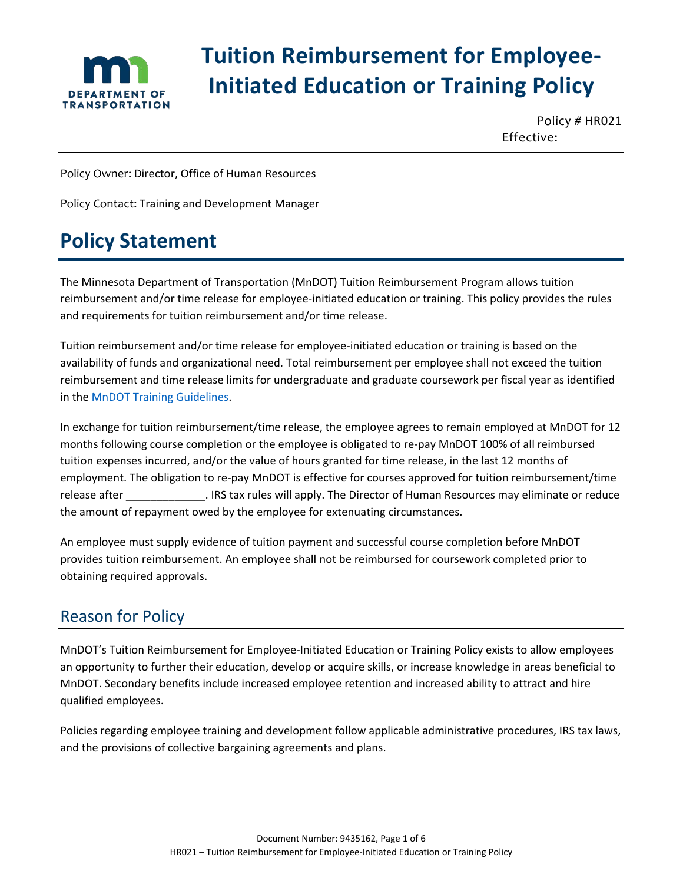

# **Tuition Reimbursement for Employee-Initiated Education or Training Policy**

Policy # HR021 Effective:

Policy Owner: Director, Office of Human Resources

Policy Contact: Training and Development Manager

## **Policy Statement**

The Minnesota Department of Transportation (MnDOT) Tuition Reimbursement Program allows tuition reimbursement and/or time release for employee-initiated education or training. This policy provides the rules and requirements for tuition reimbursement and/or time release.

Tuition reimbursement and/or time release for employee-initiated education or training is based on the availability of funds and organizational need. Total reimbursement per employee shall not exceed the tuition reimbursement and time release limits for undergraduate and graduate coursework per fiscal year as identified in the [MnDOT Training Guidelines.](http://ihub.dot.state.mn.us/training/trainingguidelines.html)

In exchange for tuition reimbursement/time release, the employee agrees to remain employed at MnDOT for 12 months following course completion or the employee is obligated to re-pay MnDOT 100% of all reimbursed tuition expenses incurred, and/or the value of hours granted for time release, in the last 12 months of employment. The obligation to re-pay MnDOT is effective for courses approved for tuition reimbursement/time release after \_\_\_\_\_\_\_\_\_\_\_\_\_. IRS tax rules will apply. The Director of Human Resources may eliminate or reduce the amount of repayment owed by the employee for extenuating circumstances.

An employee must supply evidence of tuition payment and successful course completion before MnDOT provides tuition reimbursement. An employee shall not be reimbursed for coursework completed prior to obtaining required approvals.

### Reason for Policy

MnDOT's Tuition Reimbursement for Employee-Initiated Education or Training Policy exists to allow employees an opportunity to further their education, develop or acquire skills, or increase knowledge in areas beneficial to MnDOT. Secondary benefits include increased employee retention and increased ability to attract and hire qualified employees.

Policies regarding employee training and development follow applicable administrative procedures, IRS tax laws, and the provisions of collective bargaining agreements and plans.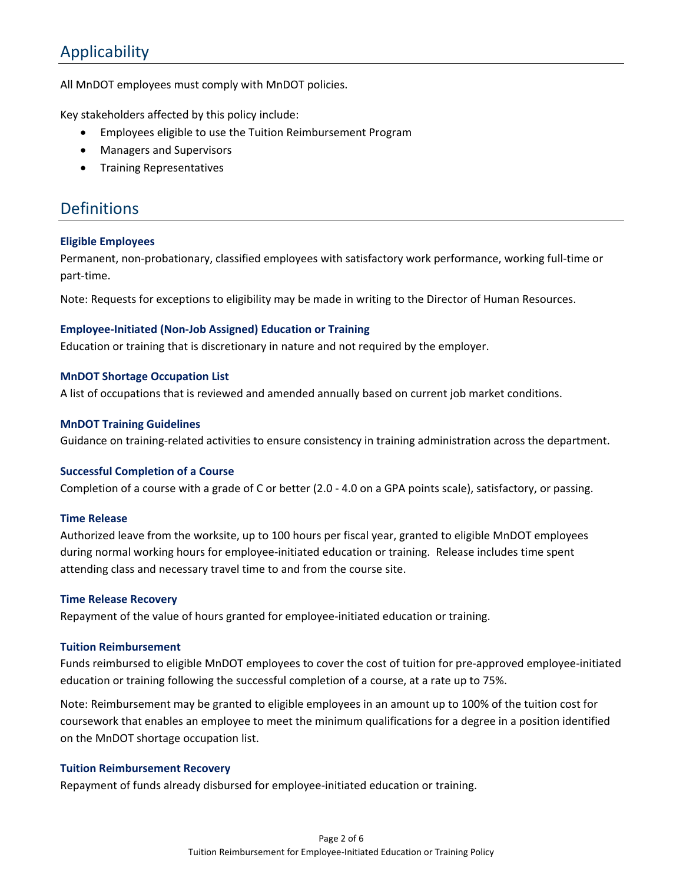### Applicability

All MnDOT employees must comply with MnDOT policies.

Key stakeholders affected by this policy include:

- Employees eligible to use the Tuition Reimbursement Program
- Managers and Supervisors
- Training Representatives

### Definitions

#### **Eligible Employees**

Permanent, non-probationary, classified employees with satisfactory work performance, working full-time or part-time.

Note: Requests for exceptions to eligibility may be made in writing to the Director of Human Resources.

### **Employee-Initiated (Non-Job Assigned) Education or Training**

Education or training that is discretionary in nature and not required by the employer.

### **MnDOT Shortage Occupation List**

A list of occupations that is reviewed and amended annually based on current job market conditions.

#### **MnDOT Training Guidelines**

Guidance on training-related activities to ensure consistency in training administration across the department.

#### **Successful Completion of a Course**

Completion of a course with a grade of C or better (2.0 - 4.0 on a GPA points scale), satisfactory, or passing.

#### **Time Release**

Authorized leave from the worksite, up to 100 hours per fiscal year, granted to eligible MnDOT employees during normal working hours for employee-initiated education or training. Release includes time spent attending class and necessary travel time to and from the course site.

#### **Time Release Recovery**

Repayment of the value of hours granted for employee-initiated education or training.

#### **Tuition Reimbursement**

Funds reimbursed to eligible MnDOT employees to cover the cost of tuition for pre-approved employee-initiated education or training following the successful completion of a course, at a rate up to 75%.

Note: Reimbursement may be granted to eligible employees in an amount up to 100% of the tuition cost for coursework that enables an employee to meet the minimum qualifications for a degree in a position identified on the MnDOT shortage occupation list.

#### **Tuition Reimbursement Recovery**

Repayment of funds already disbursed for employee-initiated education or training.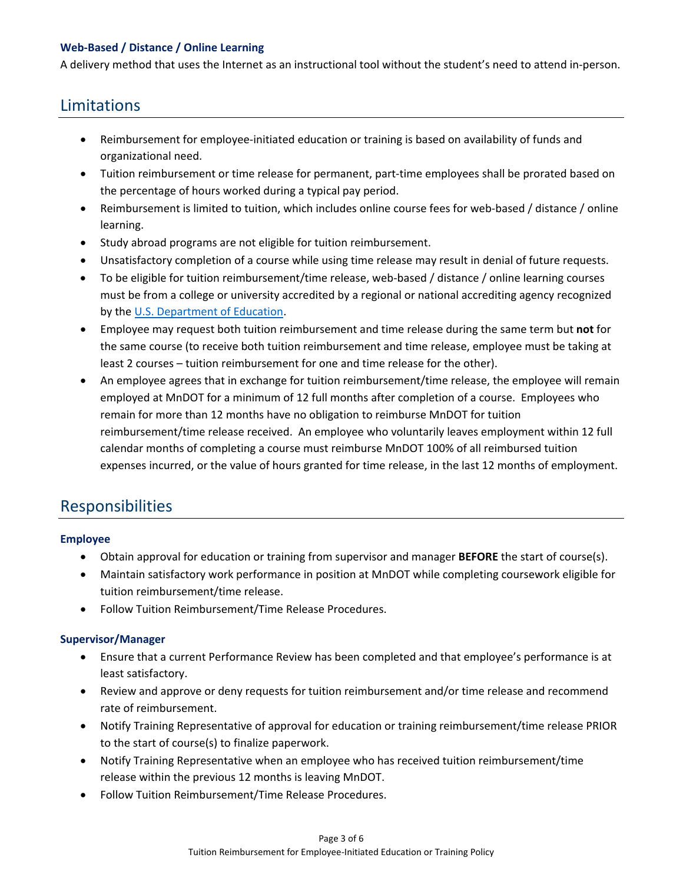### **Web-Based / Distance / Online Learning**

A delivery method that uses the Internet as an instructional tool without the student's need to attend in-person.

### Limitations

- Reimbursement for employee-initiated education or training is based on availability of funds and organizational need.
- Tuition reimbursement or time release for permanent, part-time employees shall be prorated based on the percentage of hours worked during a typical pay period.
- Reimbursement is limited to tuition, which includes online course fees for web-based / distance / online learning.
- Study abroad programs are not eligible for tuition reimbursement.
- Unsatisfactory completion of a course while using time release may result in denial of future requests.
- To be eligible for tuition reimbursement/time release, web-based / distance / online learning courses must be from a college or university accredited by a regional or national accrediting agency recognized by th[e U.S. Department of Education.](https://www.ed.gov/)
- Employee may request both tuition reimbursement and time release during the same term but **not** for the same course (to receive both tuition reimbursement and time release, employee must be taking at least 2 courses – tuition reimbursement for one and time release for the other).
- An employee agrees that in exchange for tuition reimbursement/time release, the employee will remain employed at MnDOT for a minimum of 12 full months after completion of a course. Employees who remain for more than 12 months have no obligation to reimburse MnDOT for tuition reimbursement/time release received. An employee who voluntarily leaves employment within 12 full calendar months of completing a course must reimburse MnDOT 100% of all reimbursed tuition expenses incurred, or the value of hours granted for time release, in the last 12 months of employment.

### Responsibilities

### **Employee**

- Obtain approval for education or training from supervisor and manager **BEFORE** the start of course(s).
- Maintain satisfactory work performance in position at MnDOT while completing coursework eligible for tuition reimbursement/time release.
- Follow Tuition Reimbursement/Time Release Procedures.

### **Supervisor/Manager**

- Ensure that a current Performance Review has been completed and that employee's performance is at least satisfactory.
- Review and approve or deny requests for tuition reimbursement and/or time release and recommend rate of reimbursement.
- Notify Training Representative of approval for education or training reimbursement/time release PRIOR to the start of course(s) to finalize paperwork.
- Notify Training Representative when an employee who has received tuition reimbursement/time release within the previous 12 months is leaving MnDOT.
- Follow Tuition Reimbursement/Time Release Procedures.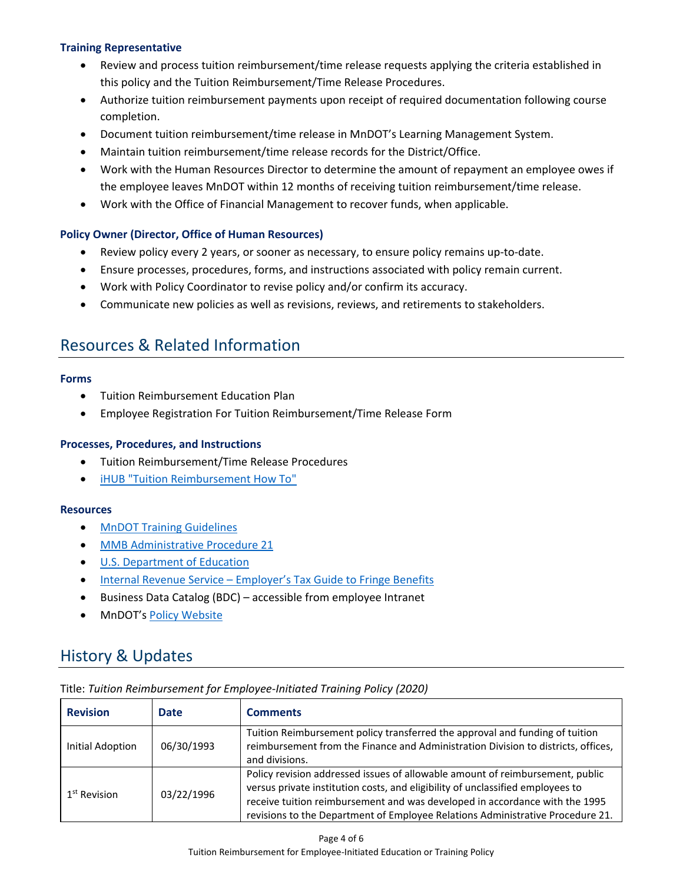### **Training Representative**

- Review and process tuition reimbursement/time release requests applying the criteria established in this policy and the Tuition Reimbursement/Time Release Procedures.
- Authorize tuition reimbursement payments upon receipt of required documentation following course completion.
- Document tuition reimbursement/time release in MnDOT's Learning Management System.
- Maintain tuition reimbursement/time release records for the District/Office.
- Work with the Human Resources Director to determine the amount of repayment an employee owes if the employee leaves MnDOT within 12 months of receiving tuition reimbursement/time release.
- Work with the Office of Financial Management to recover funds, when applicable.

### **Policy Owner (Director, Office of Human Resources)**

- Review policy every 2 years, or sooner as necessary, to ensure policy remains up-to-date.
- Ensure processes, procedures, forms, and instructions associated with policy remain current.
- Work with Policy Coordinator to revise policy and/or confirm its accuracy.
- Communicate new policies as well as revisions, reviews, and retirements to stakeholders.

### Resources & Related Information

### **Forms**

- Tuition Reimbursement Education Plan
- Employee Registration For Tuition Reimbursement/Time Release Form

### **Processes, Procedures, and Instructions**

- Tuition Reimbursement/Time Release Procedures
- [iHUB "Tuition Reimbursement How To"](http://ihub.dot.state.mn.us/training/tuitionhowto.html)

#### **Resources**

- [MnDOT Training Guidelines](http://ihub.dot.state.mn.us/training/trainingguidelines.html)
- [MMB Administrative Procedure 21](https://mn.gov/mmb/assets/Administrative-Procedure-21_tcm1059-126288.pdf)
- [U.S. Department of Education](https://www.ed.gov/)
- Internal Revenue Service [Employer's Tax Guide to Fringe Benefits](https://www.irs.gov/pub/irs-pdf/p15b.pdf)
- Business Data Catalog (BDC) accessible from employee Intranet
- MnDOT's [Policy Website](http://www.dot.state.mn.us/policy/index.html)

### History & Updates

| <b>Revision</b>          | <b>Date</b> | <b>Comments</b>                                                                                                                                                                                                                                                                                                                  |  |
|--------------------------|-------------|----------------------------------------------------------------------------------------------------------------------------------------------------------------------------------------------------------------------------------------------------------------------------------------------------------------------------------|--|
| Initial Adoption         | 06/30/1993  | Tuition Reimbursement policy transferred the approval and funding of tuition<br>reimbursement from the Finance and Administration Division to districts, offices,<br>and divisions.                                                                                                                                              |  |
| 1 <sup>st</sup> Revision | 03/22/1996  | Policy revision addressed issues of allowable amount of reimbursement, public<br>versus private institution costs, and eligibility of unclassified employees to<br>receive tuition reimbursement and was developed in accordance with the 1995<br>revisions to the Department of Employee Relations Administrative Procedure 21. |  |

Title: *Tuition Reimbursement for Employee-Initiated Training Policy (2020)*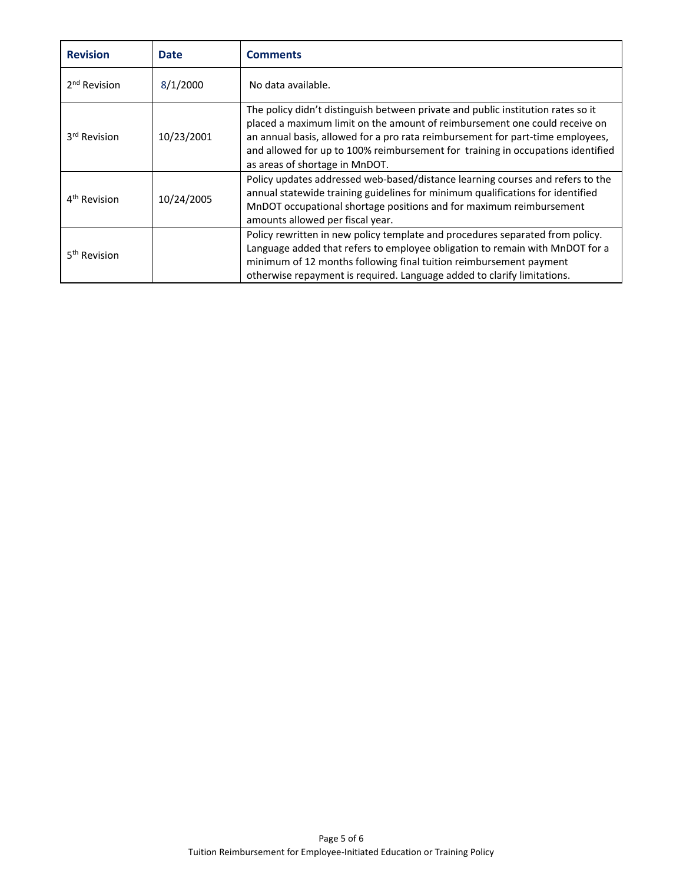| <b>Revision</b>          | <b>Date</b> | <b>Comments</b>                                                                                                                                                                                                                                                                                                                                                       |  |
|--------------------------|-------------|-----------------------------------------------------------------------------------------------------------------------------------------------------------------------------------------------------------------------------------------------------------------------------------------------------------------------------------------------------------------------|--|
| 2 <sup>nd</sup> Revision | 8/1/2000    | No data available.                                                                                                                                                                                                                                                                                                                                                    |  |
| 3 <sup>rd</sup> Revision | 10/23/2001  | The policy didn't distinguish between private and public institution rates so it<br>placed a maximum limit on the amount of reimbursement one could receive on<br>an annual basis, allowed for a pro rata reimbursement for part-time employees,<br>and allowed for up to 100% reimbursement for training in occupations identified<br>as areas of shortage in MnDOT. |  |
| 4 <sup>th</sup> Revision | 10/24/2005  | Policy updates addressed web-based/distance learning courses and refers to the<br>annual statewide training guidelines for minimum qualifications for identified<br>MnDOT occupational shortage positions and for maximum reimbursement<br>amounts allowed per fiscal year.                                                                                           |  |
| 5 <sup>th</sup> Revision |             | Policy rewritten in new policy template and procedures separated from policy.<br>Language added that refers to employee obligation to remain with MnDOT for a<br>minimum of 12 months following final tuition reimbursement payment<br>otherwise repayment is required. Language added to clarify limitations.                                                        |  |